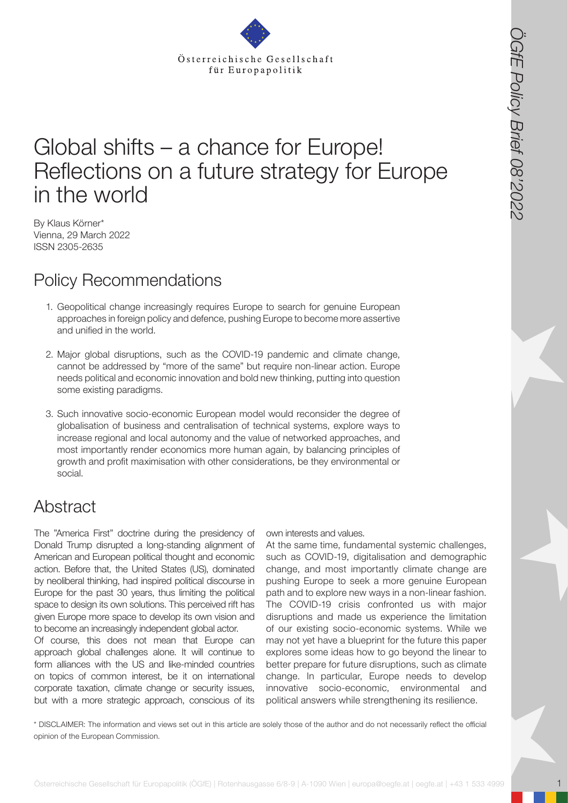

# Global shifts – a chance for Europe! Reflections on a future strategy for Europe in the world

By Klaus Körner\* Vienna, 29 March 2022 ISSN 2305-2635

## Policy Recommendations

- 1. Geopolitical change increasingly requires Europe to search for genuine European approaches in foreign policy and defence, pushing Europe to become more assertive and unified in the world.
- 2. Major global disruptions, such as the COVID-19 pandemic and climate change, cannot be addressed by "more of the same" but require non-linear action. Europe needs political and economic innovation and bold new thinking, putting into question some existing paradigms.
- 3. Such innovative socio-economic European model would reconsider the degree of globalisation of business and centralisation of technical systems, explore ways to increase regional and local autonomy and the value of networked approaches, and most importantly render economics more human again, by balancing principles of growth and profit maximisation with other considerations, be they environmental or social.

## Abstract

The "America First" doctrine during the presidency of Donald Trump disrupted a long-standing alignment of American and European political thought and economic action. Before that, the United States (US), dominated by neoliberal thinking, had inspired political discourse in Europe for the past 30 years, thus limiting the political space to design its own solutions. This perceived rift has given Europe more space to develop its own vision and to become an increasingly independent global actor.

Of course, this does not mean that Europe can approach global challenges alone. It will continue to form alliances with the US and like-minded countries on topics of common interest, be it on international corporate taxation, climate change or security issues, but with a more strategic approach, conscious of its

own interests and values.

**Stract description of the Cesellschaft für Europapolitik (CGfE) and Cesellschaft für Europapolitik (CGfE) and Cesellschaft für Europapolitik (CGfE) and Cesellsche Gesellschaft für Europapolitik (CGfE) and Cesellsche Gesel** At the same time, fundamental systemic challenges, such as COVID-19, digitalisation and demographic change, and most importantly climate change are pushing Europe to seek a more genuine European path and to explore new ways in a non-linear fashion. The COVID-19 crisis confronted us with major disruptions and made us experience the limitation of our existing socio-economic systems. While we may not yet have a blueprint for the future this paper explores some ideas how to go beyond the linear to better prepare for future disruptions, such as climate change. In particular, Europe needs to develop innovative socio-economic, environmental and political answers while strengthening its resilience.

\* DISCLAIMER: The information and views set out in this article are solely those of the author and do not necessarily reflect the official opinion of the European Commission.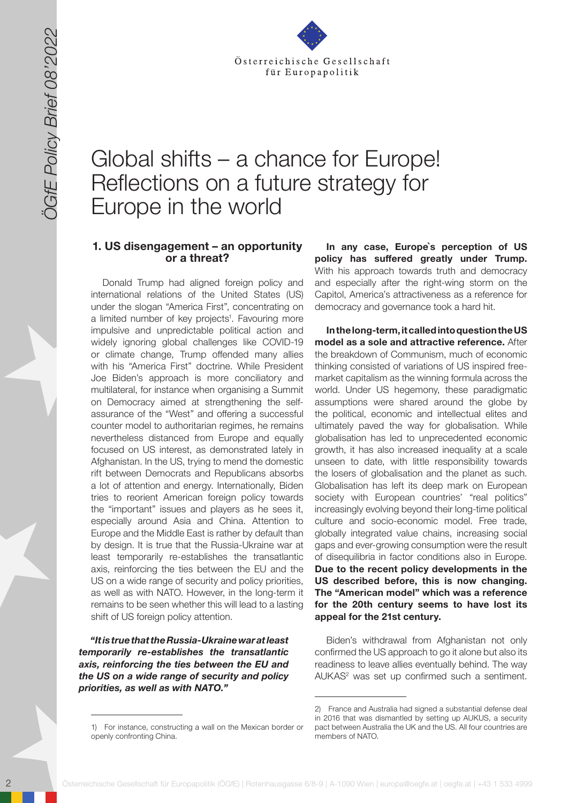

# Global shifts – a chance for Europe! Reflections on a future strategy for Europe in the world

#### 1. US disengagement – an opportunity or a threat?

2 Solen Control in the Control in the Control in the Control in the Control in the Control in the Control in the Control in the Control in the Control in the Control in the Control in the Control in the Control in the Cont Donald Trump had aligned foreign policy and international relations of the United States (US) under the slogan "America First", concentrating on a limited number of key projects<sup>1</sup>. Favouring more impulsive and unpredictable political action and widely ignoring global challenges like COVID-19 or climate change, Trump offended many allies with his "America First" doctrine. While President Joe Biden's approach is more conciliatory and multilateral, for instance when organising a Summit on Democracy aimed at strengthening the selfassurance of the "West" and offering a successful counter model to authoritarian regimes, he remains nevertheless distanced from Europe and equally focused on US interest, as demonstrated lately in Afghanistan. In the US, trying to mend the domestic rift between Democrats and Republicans absorbs a lot of attention and energy. Internationally, Biden tries to reorient American foreign policy towards the "important" issues and players as he sees it, especially around Asia and China. Attention to Europe and the Middle East is rather by default than by design. It is true that the Russia-Ukraine war at least temporarily re-establishes the transatlantic axis, reinforcing the ties between the EU and the US on a wide range of security and policy priorities, as well as with NATO. However, in the long-term it remains to be seen whether this will lead to a lasting shift of US foreign policy attention.

*"It is true that the Russia-Ukraine war at least temporarily re-establishes the transatlantic axis, reinforcing the ties between the EU and the US on a wide range of security and policy priorities, as well as with NATO."* 

**In any case, Europe`s perception of US policy has suffered greatly under Trump.**  With his approach towards truth and democracy and especially after the right-wing storm on the Capitol, America's attractiveness as a reference for democracy and governance took a hard hit.

**In the long-term, it called into question the US model as a sole and attractive reference.** After the breakdown of Communism, much of economic thinking consisted of variations of US inspired freemarket capitalism as the winning formula across the world. Under US hegemony, these paradigmatic assumptions were shared around the globe by the political, economic and intellectual elites and ultimately paved the way for globalisation. While globalisation has led to unprecedented economic growth, it has also increased inequality at a scale unseen to date, with little responsibility towards the losers of globalisation and the planet as such. Globalisation has left its deep mark on European society with European countries' "real politics" increasingly evolving beyond their long-time political culture and socio-economic model. Free trade, globally integrated value chains, increasing social gaps and ever-growing consumption were the result of disequilibria in factor conditions also in Europe. **Due to the recent policy developments in the US described before, this is now changing. The "American model" which was a reference for the 20th century seems to have lost its appeal for the 21st century.**

Biden's withdrawal from Afghanistan not only confirmed the US approach to go it alone but also its readiness to leave allies eventually behind. The way AUKAS<sup>2</sup> was set up confirmed such a sentiment.

<sup>1)</sup> For instance, constructing a wall on the Mexican border or openly confronting China.

<sup>2)</sup> France and Australia had signed a substantial defense deal in 2016 that was dismantled by setting up AUKUS, a security pact between Australia the UK and the US. All four countries are members of NATO.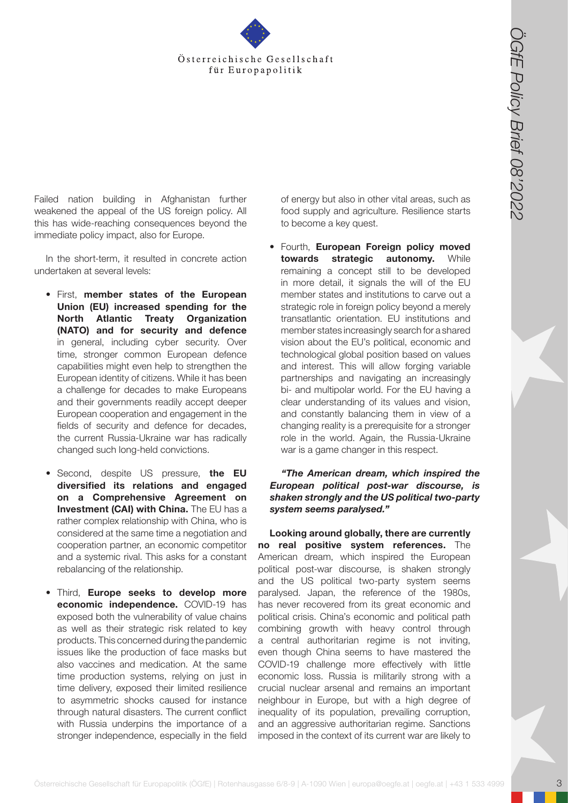

Failed nation building in Afghanistan further weakened the appeal of the US foreign policy. All this has wide-reaching consequences beyond the immediate policy impact, also for Europe.

In the short-term, it resulted in concrete action undertaken at several levels:

- First, **member states of the European Union (EU) increased spending for the North Atlantic Treaty Organization (NATO) and for security and defence**  in general, including cyber security. Over time, stronger common European defence capabilities might even help to strengthen the European identity of citizens. While it has been a challenge for decades to make Europeans and their governments readily accept deeper European cooperation and engagement in the fields of security and defence for decades, the current Russia-Ukraine war has radically changed such long-held convictions.
- Second, despite US pressure, **the EU diversified its relations and engaged on a Comprehensive Agreement on Investment (CAI) with China.** The EU has a rather complex relationship with China, who is considered at the same time a negotiation and cooperation partner, an economic competitor and a systemic rival. This asks for a constant rebalancing of the relationship.
- Third, **Europe seeks to develop more economic independence.** COVID-19 has exposed both the vulnerability of value chains as well as their strategic risk related to key products. This concerned during the pandemic issues like the production of face masks but also vaccines and medication. At the same time production systems, relying on just in time delivery, exposed their limited resilience to asymmetric shocks caused for instance through natural disasters. The current conflict with Russia underpins the importance of a stronger independence, especially in the field

of energy but also in other vital areas, such as food supply and agriculture. Resilience starts to become a key quest.

• Fourth, **European Foreign policy moved towards strategic autonomy.** While remaining a concept still to be developed in more detail, it signals the will of the EU member states and institutions to carve out a strategic role in foreign policy beyond a merely transatlantic orientation. EU institutions and member states increasingly search for a shared vision about the EU's political, economic and technological global position based on values and interest. This will allow forging variable partnerships and navigating an increasingly bi- and multipolar world. For the EU having a clear understanding of its values and vision, and constantly balancing them in view of a changing reality is a prerequisite for a stronger role in the world. Again, the Russia-Ukraine war is a game changer in this respect.

*"The American dream, which inspired the European political post-war discourse, is shaken strongly and the US political two-party system seems paralysed."* 

**Control is the Gestion and Control is the Gestion and Control is the Gesellschaft for the Gestion and Control is the Gestion and Control is the Gestion and Control is the Gestion and Control is the Gestion and Control is Looking around globally, there are currently no real positive system references.** The American dream, which inspired the European political post-war discourse, is shaken strongly and the US political two-party system seems paralysed. Japan, the reference of the 1980s, has never recovered from its great economic and political crisis. China's economic and political path combining growth with heavy control through a central authoritarian regime is not inviting, even though China seems to have mastered the COVID-19 challenge more effectively with little economic loss. Russia is militarily strong with a crucial nuclear arsenal and remains an important neighbour in Europe, but with a high degree of inequality of its population, prevailing corruption, and an aggressive authoritarian regime. Sanctions imposed in the context of its current war are likely to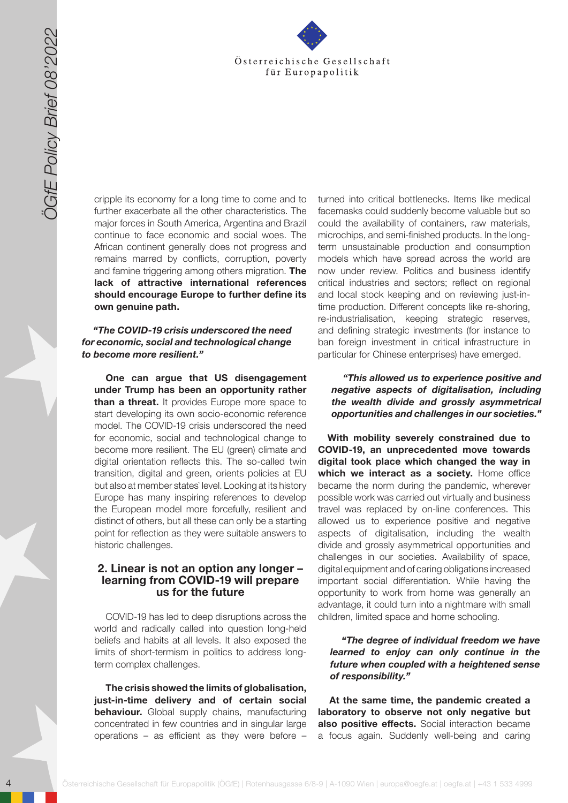

cripple its economy for a long time to come and to further exacerbate all the other characteristics. The major forces in South America, Argentina and Brazil continue to face economic and social woes. The African continent generally does not progress and remains marred by conflicts, corruption, poverty and famine triggering among others migration. **The lack of attractive international references should encourage Europe to further define its own genuine path.**

#### *"The COVID-19 crisis underscored the need for economic, social and technological change to become more resilient."*

**One can argue that US disengagement under Trump has been an opportunity rather than a threat.** It provides Europe more space to start developing its own socio-economic reference model. The COVID-19 crisis underscored the need for economic, social and technological change to become more resilient. The EU (green) climate and digital orientation reflects this. The so-called twin transition, digital and green, orients policies at EU but also at member states` level. Looking at its history Europe has many inspiring references to develop the European model more forcefully, resilient and distinct of others, but all these can only be a starting point for reflection as they were suitable answers to historic challenges.

### **2. Linear is not an option any longer – learning from COVID-19 will prepare us for the future**

COVID-19 has led to deep disruptions across the world and radically called into question long-held beliefs and habits at all levels. It also exposed the limits of short-termism in politics to address longterm complex challenges.

**The crisis showed the limits of globalisation, just-in-time delivery and of certain social behaviour.** Global supply chains, manufacturing concentrated in few countries and in singular large operations – as efficient as they were before –

turned into critical bottlenecks. Items like medical facemasks could suddenly become valuable but so could the availability of containers, raw materials, microchips, and semi-finished products. In the longterm unsustainable production and consumption models which have spread across the world are now under review. Politics and business identify critical industries and sectors; reflect on regional and local stock keeping and on reviewing just-intime production. Different concepts like re-shoring, re-industrialisation, keeping strategic reserves, and defining strategic investments (for instance to ban foreign investment in critical infrastructure in particular for Chinese enterprises) have emerged.

#### *"This allowed us to experience positive and negative aspects of digitalisation, including the wealth divide and grossly asymmetrical opportunities and challenges in our societies."*

4 October 1998 Control to the control to the control to the control to the control to the control to the control to the control to the control to the control to the control to the control to the control of the control of t **With mobility severely constrained due to COVID-19, an unprecedented move towards digital took place which changed the way in**  which we interact as a society. Home office became the norm during the pandemic, wherever possible work was carried out virtually and business travel was replaced by on-line conferences. This allowed us to experience positive and negative aspects of digitalisation, including the wealth divide and grossly asymmetrical opportunities and challenges in our societies. Availability of space, digital equipment and of caring obligations increased important social differentiation. While having the opportunity to work from home was generally an advantage, it could turn into a nightmare with small children, limited space and home schooling.

#### *"The degree of individual freedom we have learned to enjoy can only continue in the future when coupled with a heightened sense of responsibility."*

**At the same time, the pandemic created a laboratory to observe not only negative but also positive effects.** Social interaction became a focus again. Suddenly well-being and caring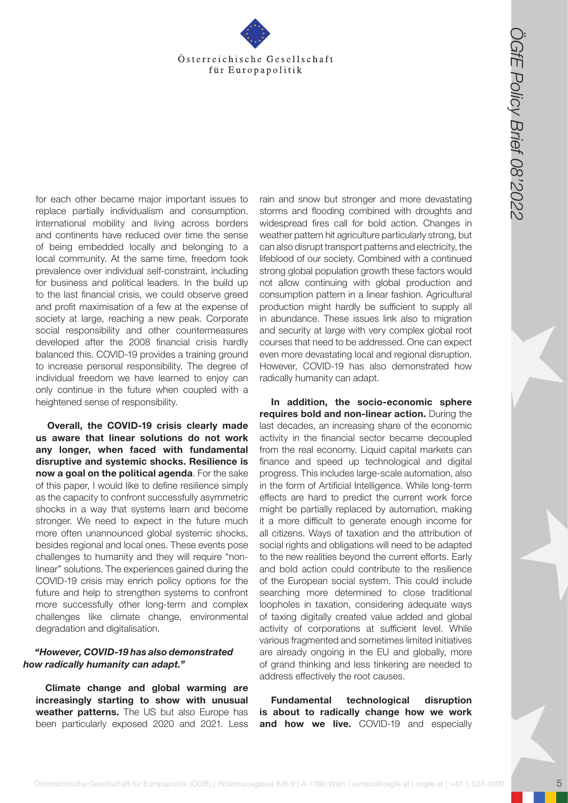

for each other became major important issues to replace partially individualism and consumption. International mobility and living across borders and continents have reduced over time the sense of being embedded locally and belonging to a local community. At the same time, freedom took prevalence over individual self-constraint, including for business and political leaders. In the build up to the last financial crisis, we could observe greed and profit maximisation of a few at the expense of society at large, reaching a new peak. Corporate social responsibility and other countermeasures developed after the 2008 financial crisis hardly balanced this. COVID-19 provides a training ground to increase personal responsibility. The degree of individual freedom we have learned to enjoy can only continue in the future when coupled with a heightened sense of responsibility.

**Overall, the COVID-19 crisis clearly made us aware that linear solutions do not work any longer, when faced with fundamental disruptive and systemic shocks. Resilience is now a goal on the political agenda**. For the sake of this paper, I would like to define resilience simply as the capacity to confront successfully asymmetric shocks in a way that systems learn and become stronger. We need to expect in the future much more often unannounced global systemic shocks, besides regional and local ones. These events pose challenges to humanity and they will require "nonlinear" solutions. The experiences gained during the COVID-19 crisis may enrich policy options for the future and help to strengthen systems to confront more successfully other long-term and complex challenges like climate change, environmental degradation and digitalisation.

#### *"However, COVID-19 has also demonstrated how radically humanity can adapt."*

**Climate change and global warming are increasingly starting to show with unusual weather patterns.** The US but also Europe has been particularly exposed 2020 and 2021. Less

rain and snow but stronger and more devastating storms and flooding combined with droughts and widespread fires call for bold action. Changes in weather pattern hit agriculture particularly strong, but can also disrupt transport patterns and electricity, the lifeblood of our society. Combined with a continued strong global population growth these factors would not allow continuing with global production and consumption pattern in a linear fashion. Agricultural production might hardly be sufficient to supply all in abundance. These issues link also to migration and security at large with very complex global root courses that need to be addressed. One can expect even more devastating local and regional disruption. However, COVID-19 has also demonstrated how radically humanity can adapt.

**Osterreichische Gesellschaft für Europapolitik (OGfernolitik (CGfE) | Rotenhausgasse 6/8-9 | A-1090 Wien | Rotenhausgasse 6/8-9 | A-1090 Wien | A-1090 Wien | europa content at the state of the state of the state of the st In addition, the socio-economic sphere requires bold and non-linear action.** During the last decades, an increasing share of the economic activity in the financial sector became decoupled from the real economy. Liquid capital markets can finance and speed up technological and digital progress. This includes large-scale automation, also in the form of Artificial Intelligence. While long-term effects are hard to predict the current work force might be partially replaced by automation, making it a more difficult to generate enough income for all citizens. Ways of taxation and the attribution of social rights and obligations will need to be adapted to the new realities beyond the current efforts. Early and bold action could contribute to the resilience of the European social system. This could include searching more determined to close traditional loopholes in taxation, considering adequate ways of taxing digitally created value added and global activity of corporations at sufficient level. While various fragmented and sometimes limited initiatives are already ongoing in the EU and globally, more of grand thinking and less tinkering are needed to address effectively the root causes.

**Fundamental technological disruption is about to radically change how we work and how we live.** COVID-19 and especially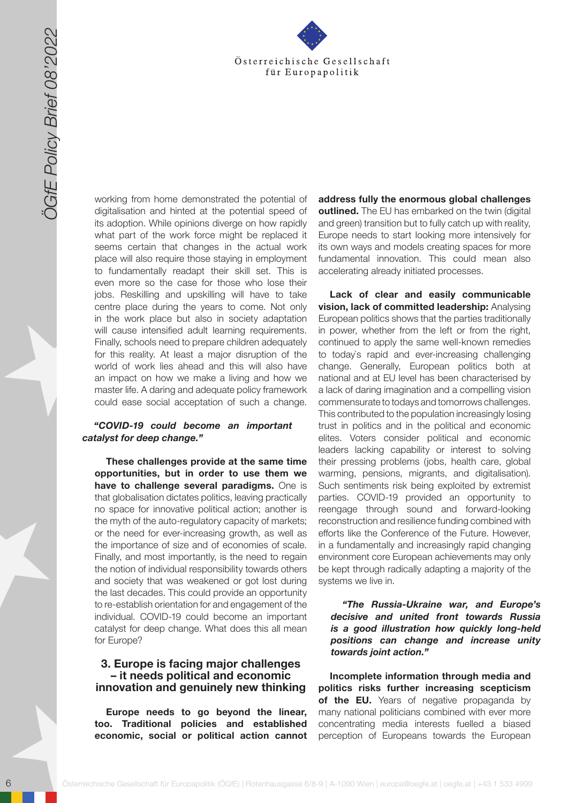

working from home demonstrated the potential of digitalisation and hinted at the potential speed of its adoption. While opinions diverge on how rapidly what part of the work force might be replaced it seems certain that changes in the actual work place will also require those staying in employment to fundamentally readapt their skill set. This is even more so the case for those who lose their jobs. Reskilling and upskilling will have to take centre place during the years to come. Not only in the work place but also in society adaptation will cause intensified adult learning requirements. Finally, schools need to prepare children adequately for this reality. At least a major disruption of the world of work lies ahead and this will also have an impact on how we make a living and how we master life. A daring and adequate policy framework could ease social acceptation of such a change.

#### *"COVID-19 could become an important catalyst for deep change."*

**These challenges provide at the same time opportunities, but in order to use them we have to challenge several paradigms.** One is that globalisation dictates politics, leaving practically no space for innovative political action; another is the myth of the auto-regulatory capacity of markets; or the need for ever-increasing growth, as well as the importance of size and of economies of scale. Finally, and most importantly, is the need to regain the notion of individual responsibility towards others and society that was weakened or got lost during the last decades. This could provide an opportunity to re-establish orientation for and engagement of the individual. COVID-19 could become an important catalyst for deep change. What does this all mean for Europe?

#### **3. Europe is facing major challenges – it needs political and economic innovation and genuinely new thinking**

**Europe needs to go beyond the linear, too. Traditional policies and established economic, social or political action cannot**  **address fully the enormous global challenges outlined.** The EU has embarked on the twin (digital and green) transition but to fully catch up with reality, Europe needs to start looking more intensively for its own ways and models creating spaces for more fundamental innovation. This could mean also accelerating already initiated processes.

6 Solen Control of the state of the state of the state of the state of the state of the state of the state of the state of the state of the state of the state of the state of the state of the state of the state of the stat **Lack of clear and easily communicable vision, lack of committed leadership:** Analysing European politics shows that the parties traditionally in power, whether from the left or from the right, continued to apply the same well-known remedies to today`s rapid and ever-increasing challenging change. Generally, European politics both at national and at EU level has been characterised by a lack of daring imagination and a compelling vision commensurate to todays and tomorrows challenges. This contributed to the population increasingly losing trust in politics and in the political and economic elites. Voters consider political and economic leaders lacking capability or interest to solving their pressing problems (jobs, health care, global warming, pensions, migrants, and digitalisation). Such sentiments risk being exploited by extremist parties. COVID-19 provided an opportunity to reengage through sound and forward-looking reconstruction and resilience funding combined with efforts like the Conference of the Future. However, in a fundamentally and increasingly rapid changing environment core European achievements may only be kept through radically adapting a majority of the systems we live in.

*"The Russia-Ukraine war, and Europe's decisive and united front towards Russia is a good illustration how quickly long-held positions can change and increase unity towards joint action."* 

**Incomplete information through media and politics risks further increasing scepticism of the EU.** Years of negative propaganda by many national politicians combined with ever more concentrating media interests fuelled a biased perception of Europeans towards the European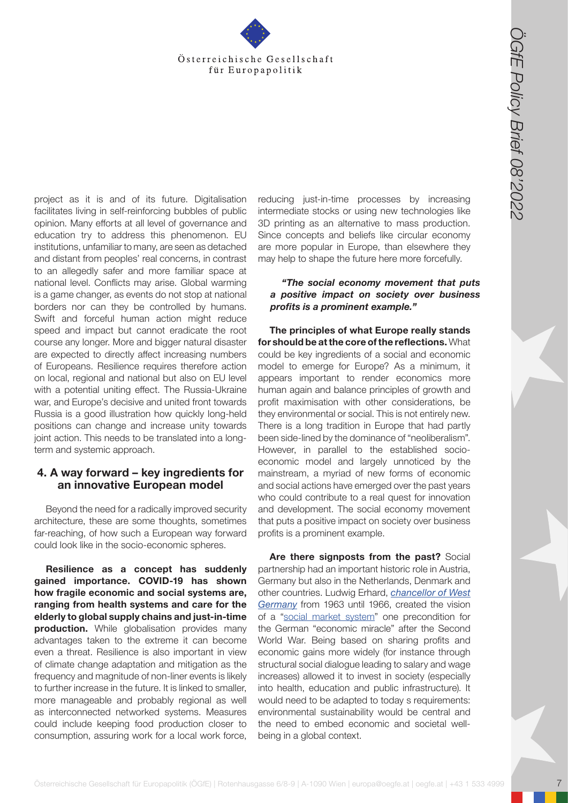

**Osterreichische Gesting and Theoretical Control in the control in the control in the control in the control in the control in the control in the control in the control in the control in the control in the control in the** project as it is and of its future. Digitalisation facilitates living in self-reinforcing bubbles of public opinion. Many efforts at all level of governance and education try to address this phenomenon. EU institutions, unfamiliar to many, are seen as detached and distant from peoples' real concerns, in contrast to an allegedly safer and more familiar space at national level. Conflicts may arise. Global warming is a game changer, as events do not stop at national borders nor can they be controlled by humans. Swift and forceful human action might reduce speed and impact but cannot eradicate the root course any longer. More and bigger natural disaster are expected to directly affect increasing numbers of Europeans. Resilience requires therefore action on local, regional and national but also on EU level with a potential uniting effect. The Russia-Ukraine war, and Europe's decisive and united front towards Russia is a good illustration how quickly long-held positions can change and increase unity towards joint action. This needs to be translated into a longterm and systemic approach.

#### **4. A way forward – key ingredients for an innovative European model**

Beyond the need for a radically improved security architecture, these are some thoughts, sometimes far-reaching, of how such a European way forward could look like in the socio-economic spheres.

**Resilience as a concept has suddenly gained importance. COVID-19 has shown how fragile economic and social systems are, ranging from health systems and care for the elderly to global supply chains and just-in-time production.** While globalisation provides many advantages taken to the extreme it can become even a threat. Resilience is also important in view of climate change adaptation and mitigation as the frequency and magnitude of non-liner events is likely to further increase in the future. It is linked to smaller, more manageable and probably regional as well as interconnected networked systems. Measures could include keeping food production closer to consumption, assuring work for a local work force,

reducing just-in-time processes by increasing intermediate stocks or using new technologies like 3D printing as an alternative to mass production. Since concepts and beliefs like circular economy are more popular in Europe, than elsewhere they may help to shape the future here more forcefully.

#### *"The social economy movement that puts a positive impact on society over business profits is a prominent example."*

**The principles of what Europe really stands for should be at the core of the reflections.** What could be key ingredients of a social and economic model to emerge for Europe? As a minimum, it appears important to render economics more human again and balance principles of growth and profit maximisation with other considerations, be they environmental or social. This is not entirely new. There is a long tradition in Europe that had partly been side-lined by the dominance of "neoliberalism". However, in parallel to the established socioeconomic model and largely unnoticed by the mainstream, a myriad of new forms of economic and social actions have emerged over the past years who could contribute to a real quest for innovation and development. The social economy movement that puts a positive impact on society over business profits is a prominent example.

**Are there signposts from the past?** Social partnership had an important historic role in Austria, Germany but also in the Netherlands, Denmark and other countries. Ludwig Erhard, *[chancellor of West](https://en.wikipedia.org/wiki/Ludwig_Erhard) [Germany](https://en.wikipedia.org/wiki/Ludwig_Erhard)* from 1963 until 1966, created the vision of a "[social market system](https://www.britannica.com/topic/social-market-economy)" one precondition for the German "economic miracle" after the Second World War. Being based on sharing profits and economic gains more widely (for instance through structural social dialogue leading to salary and wage increases) allowed it to invest in society (especially into health, education and public infrastructure). It would need to be adapted to today s requirements: environmental sustainability would be central and the need to embed economic and societal wellbeing in a global context.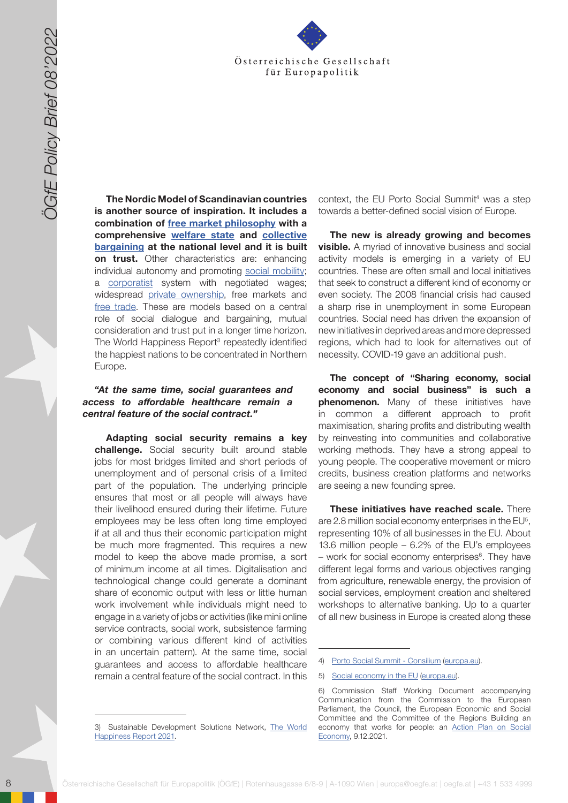

**The Nordic Model of Scandinavian countries is another source of inspiration. It includes a combination of [free market philosophy](https://en.wikipedia.org/wiki/capitalism) with a comprehensive [welfare state](https://en.wikipedia.org/wiki/welfare_state) and [collective](https://en.wikipedia.org/wiki/collective_bargaining)  [bargaining](https://en.wikipedia.org/wiki/collective_bargaining) at the national level and it is built on trust.** Other characteristics are: enhancing individual autonomy and promoting [social mobility](https://en.wikipedia.org/wiki/social_mobility); a [corporatist](https://en.wikipedia.org/wiki/corporatist) system with negotiated wages; widespread [private ownership,](https://en.wikipedia.org/wiki/private_ownership) free markets and [free trade](https://en.wikipedia.org/wiki/free_trade). These are models based on a central role of social dialogue and bargaining, mutual consideration and trust put in a longer time horizon. The World Happiness Report<sup>3</sup> repeatedly identified the happiest nations to be concentrated in Northern Europe.

#### *"At the same time, social guarantees and access to affordable healthcare remain a central feature of the social contract."*

Solomood and the state for the state for the state for the state for the state for the state for the state of the state of the state of the state of the state of the state of the state of the state of the state of the st **Adapting social security remains a key challenge.** Social security built around stable jobs for most bridges limited and short periods of unemployment and of personal crisis of a limited part of the population. The underlying principle ensures that most or all people will always have their livelihood ensured during their lifetime. Future employees may be less often long time employed if at all and thus their economic participation might be much more fragmented. This requires a new model to keep the above made promise, a sort of minimum income at all times. Digitalisation and technological change could generate a dominant share of economic output with less or little human work involvement while individuals might need to engage in a variety of jobs or activities (like mini online service contracts, social work, subsistence farming or combining various different kind of activities in an uncertain pattern). At the same time, social guarantees and access to affordable healthcare remain a central feature of the social contract. In this

context, the EU Porto Social Summit<sup>4</sup> was a step towards a better-defined social vision of Europe.

**The new is already growing and becomes visible.** A myriad of innovative business and social activity models is emerging in a variety of EU countries. These are often small and local initiatives that seek to construct a different kind of economy or even society. The 2008 financial crisis had caused a sharp rise in unemployment in some European countries. Social need has driven the expansion of new initiatives in deprived areas and more depressed regions, which had to look for alternatives out of necessity. COVID-19 gave an additional push.

**The concept of "Sharing economy, social economy and social business" is such a phenomenon.** Many of these initiatives have in common a different approach to profit maximisation, sharing profits and distributing wealth by reinvesting into communities and collaborative working methods. They have a strong appeal to young people. The cooperative movement or micro credits, business creation platforms and networks are seeing a new founding spree.

**These initiatives have reached scale.** There are 2.8 million social economy enterprises in the EU5 , representing 10% of all businesses in the EU. About 13.6 million people – 6.2% of the EU's employees – work for social economy enterprises<sup>6</sup>. They have different legal forms and various objectives ranging from agriculture, renewable energy, the provision of social services, employment creation and sheltered workshops to alternative banking. Up to a quarter of all new business in Europe is created along these

<sup>3)</sup> Sustainable Development Solutions Network, [The World](https://worldhappiness.report/)  [Happiness Report 2021](https://worldhappiness.report/).

<sup>4)</sup> [Porto Social Summit - Consilium](https://www.consilium.europa.eu/en/meetings/european-council/2021/05/07/social-summit/) [\(europa.eu\)](http://europa.eu).

<sup>5)</sup> [Social economy in the EU](https://ec.europa.eu/growth/sectors/proximity-and-social-economy/social-economy-eu_en) [\(europa.eu\)](http://europa.eu).

<sup>6)</sup> Commission Staff Working Document accompanying Communication from the Commission to the European Parliament, the Council, the European Economic and Social Committee and the Committee of the Regions Building an economy that works for people: an [Action Plan on Social](https://ec.europa.eu/social/main.jsp?catId=1537&langId=en) [Economy](https://ec.europa.eu/social/main.jsp?catId=1537&langId=en), 9.12.2021.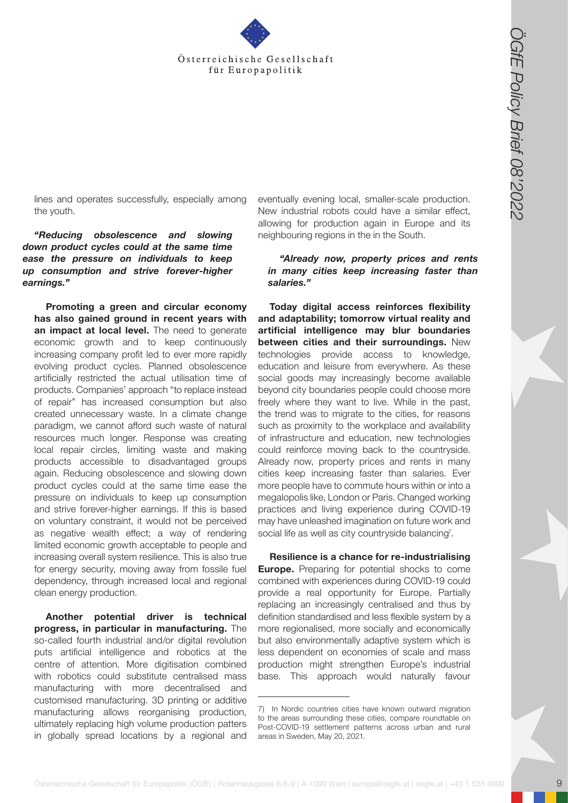

lines and operates successfully, especially among the youth.

*"Reducing obsolescence and slowing down product cycles could at the same time ease the pressure on individuals to keep up consumption and strive forever-higher earnings."* 

**Osterreichische Gesellschaft für Europapolitik (OGfer Europapolitik für Europapolitik (OGfer Europapolitik (OGfer Europapolitik (OGfer Europapolitik (OGfer Europapolitik für Europapolitik (Society and A-1090 Section 2002) Promoting a green and circular economy has also gained ground in recent years with**  an impact at local level. The need to generate economic growth and to keep continuously increasing company profit led to ever more rapidly evolving product cycles. Planned obsolescence artificially restricted the actual utilisation time of products. Companies' approach "to replace instead of repair" has increased consumption but also created unnecessary waste. In a climate change paradigm, we cannot afford such waste of natural resources much longer. Response was creating local repair circles, limiting waste and making products accessible to disadvantaged groups again. Reducing obsolescence and slowing down product cycles could at the same time ease the pressure on individuals to keep up consumption and strive forever-higher earnings. If this is based on voluntary constraint, it would not be perceived as negative wealth effect; a way of rendering limited economic growth acceptable to people and increasing overall system resilience. This is also true for energy security, moving away from fossile fuel dependency, through increased local and regional clean energy production.

**Another potential driver is technical progress, in particular in manufacturing.** The so-called fourth industrial and/or digital revolution puts artificial intelligence and robotics at the centre of attention. More digitisation combined with robotics could substitute centralised mass manufacturing with more decentralised and customised manufacturing. 3D printing or additive manufacturing allows reorganising production, ultimately replacing high volume production patters in globally spread locations by a regional and

eventually evening local, smaller-scale production. New industrial robots could have a similar effect, allowing for production again in Europe and its neighbouring regions in the in the South.

#### *"Already now, property prices and rents in many cities keep increasing faster than salaries."*

**Today digital access reinforces flexibility and adaptability; tomorrow virtual reality and artificial intelligence may blur boundaries between cities and their surroundings.** New technologies provide access to knowledge, education and leisure from everywhere. As these social goods may increasingly become available beyond city boundaries people could choose more freely where they want to live. While in the past, the trend was to migrate to the cities, for reasons such as proximity to the workplace and availability of infrastructure and education, new technologies could reinforce moving back to the countryside. Already now, property prices and rents in many cities keep increasing faster than salaries. Ever more people have to commute hours within or into a megalopolis like, London or Paris. Changed working practices and living experience during COVID-19 may have unleashed imagination on future work and social life as well as city countryside balancing<sup>7</sup>.

**Resilience is a chance for re-industrialising Europe.** Preparing for potential shocks to come combined with experiences during COVID-19 could provide a real opportunity for Europe. Partially replacing an increasingly centralised and thus by definition standardised and less flexible system by a more regionalised, more socially and economically but also environmentally adaptive system which is less dependent on economies of scale and mass production might strengthen Europe's industrial base. This approach would naturally favour

<sup>7)</sup> In Nordic countries cities have known outward migration to the areas surrounding these cities, compare roundtable on Post-COVID-19 settlement patterns across urban and rural areas in Sweden, May 20, 2021.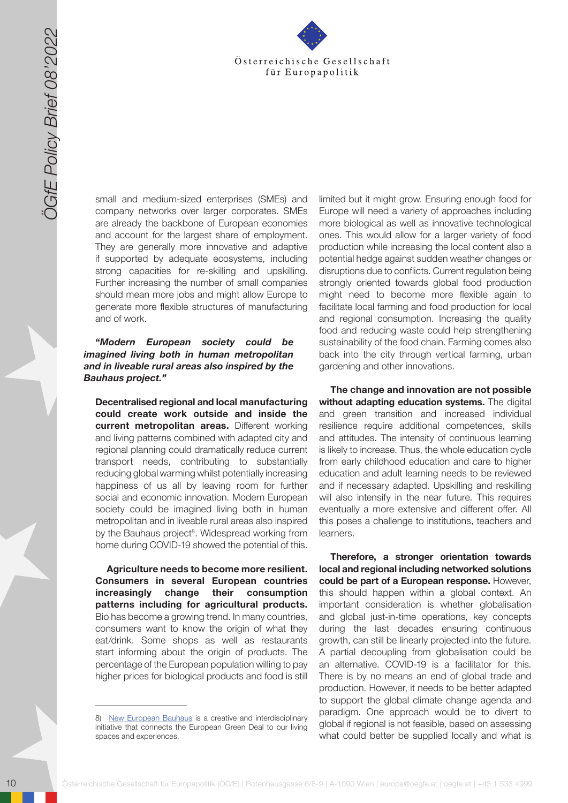

small and medium-sized enterprises (SMEs) and company networks over larger corporates. SMEs are already the backbone of European economies and account for the largest share of employment. They are generally more innovative and adaptive if supported by adequate ecosystems, including strong capacities for re-skilling and upskilling. Further increasing the number of small companies should mean more jobs and might allow Europe to generate more flexible structures of manufacturing and of work.

#### *"Modern European society could be imagined living both in human metropolitan and in liveable rural areas also inspired by the Bauhaus project."*

**Decentralised regional and local manufacturing could create work outside and inside the current metropolitan areas.** Different working and living patterns combined with adapted city and regional planning could dramatically reduce current transport needs, contributing to substantially reducing global warming whilst potentially increasing happiness of us all by leaving room for further social and economic innovation. Modern European society could be imagined living both in human metropolitan and in liveable rural areas also inspired by the Bauhaus project<sup>8</sup>. Widespread working from home during COVID-19 showed the potential of this.

**Agriculture needs to become more resilient. Consumers in several European countries increasingly change their consumption patterns including for agricultural products.** Bio has become a growing trend. In many countries, consumers want to know the origin of what they eat/drink. Some shops as well as restaurants start informing about the origin of products. The percentage of the European population willing to pay higher prices for biological products and food is still

limited but it might grow. Ensuring enough food for Europe will need a variety of approaches including more biological as well as innovative technological ones. This would allow for a larger variety of food production while increasing the local content also a potential hedge against sudden weather changes or disruptions due to conflicts. Current regulation being strongly oriented towards global food production might need to become more flexible again to facilitate local farming and food production for local and regional consumption. Increasing the quality food and reducing waste could help strengthening sustainability of the food chain. Farming comes also back into the city through vertical farming, urban gardening and other innovations.

**The change and innovation are not possible without adapting education systems.** The digital and green transition and increased individual resilience require additional competences, skills and attitudes. The intensity of continuous learning is likely to increase. Thus, the whole education cycle from early childhood education and care to higher education and adult learning needs to be reviewed and if necessary adapted. Upskilling and reskilling will also intensify in the near future. This requires eventually a more extensive and different offer. All this poses a challenge to institutions, teachers and learners.

10 October 10 October 10 October 10 October 10 October 10 October 10 October 10 October 10 October 10 October 10 October 10 October 10 October 10 October 10 October 10 October 10 October 10 October 10 October 10 October 1 **Therefore, a stronger orientation towards local and regional including networked solutions could be part of a European response.** However, this should happen within a global context. An important consideration is whether globalisation and global just-in-time operations, key concepts during the last decades ensuring continuous growth, can still be linearly projected into the future. A partial decoupling from globalisation could be an alternative. COVID-19 is a facilitator for this. There is by no means an end of global trade and production. However, it needs to be better adapted to support the global climate change agenda and paradigm. One approach would be to divert to global if regional is not feasible, based on assessing what could better be supplied locally and what is

<sup>8)</sup> [New European Bauhaus](https://europa.eu/new-european-bauhaus/index_en) is a creative and interdisciplinary initiative that connects the European Green Deal to our living spaces and experiences.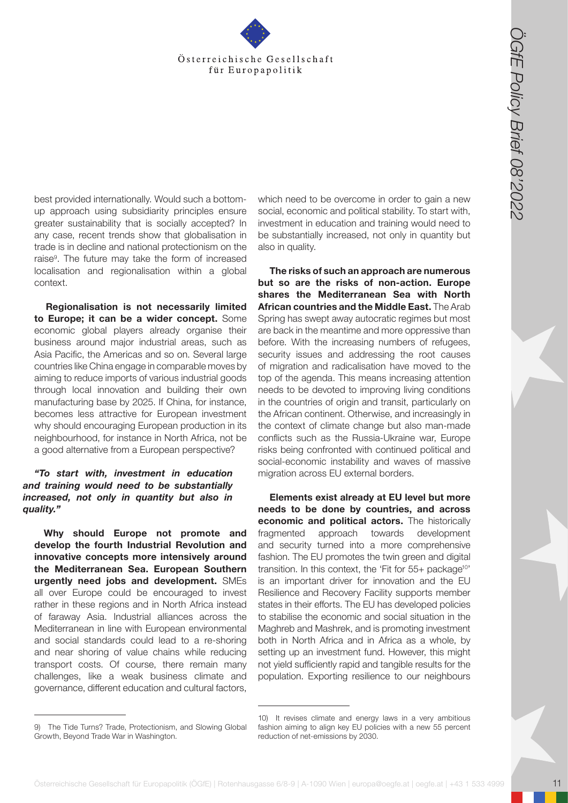

best provided internationally. Would such a bottomup approach using subsidiarity principles ensure greater sustainability that is socially accepted? In any case, recent trends show that globalisation in trade is in decline and national protectionism on the raise<sup>9</sup>. The future may take the form of increased localisation and regionalisation within a global context.

**Regionalisation is not necessarily limited to Europe; it can be a wider concept.** Some economic global players already organise their business around major industrial areas, such as Asia Pacific, the Americas and so on. Several large countries like China engage in comparable moves by aiming to reduce imports of various industrial goods through local innovation and building their own manufacturing base by 2025. If China, for instance, becomes less attractive for European investment why should encouraging European production in its neighbourhood, for instance in North Africa, not be a good alternative from a European perspective?

#### *"To start with, investment in education and training would need to be substantially increased, not only in quantity but also in quality."*

**Why should Europe not promote and develop the fourth Industrial Revolution and innovative concepts more intensively around the Mediterranean Sea. European Southern urgently need jobs and development.** SMEs all over Europe could be encouraged to invest rather in these regions and in North Africa instead of faraway Asia. Industrial alliances across the Mediterranean in line with European environmental and social standards could lead to a re-shoring and near shoring of value chains while reducing transport costs. Of course, there remain many challenges, like a weak business climate and governance, different education and cultural factors,

which need to be overcome in order to gain a new social, economic and political stability. To start with,

**Osterreichische Gesellschaft für Europapolitik (Cff Europapolitik (Cff Europapolitik (Cff Europapolitik (Cff Europapolitik (Cff Europapolitik (Cff Europapolitik (Cff Europapolitik Cff Europapolitik (Steel Schement and Cf but so are the risks of non-action. Europe shares the Mediterranean Sea with North African countries and the Middle East.** The Arab Spring has swept away autocratic regimes but most are back in the meantime and more oppressive than before. With the increasing numbers of refugees, security issues and addressing the root causes of migration and radicalisation have moved to the top of the agenda. This means increasing attention needs to be devoted to improving living conditions in the countries of origin and transit, particularly on the African continent. Otherwise, and increasingly in the context of climate change but also man-made conflicts such as the Russia-Ukraine war, Europe risks being confronted with continued political and social-economic instability and waves of massive migration across EU external borders.

**Elements exist already at EU level but more needs to be done by countries, and across economic and political actors.** The historically fragmented approach towards development and security turned into a more comprehensive fashion. The EU promotes the twin green and digital transition. In this context, the 'Fit for 55+ package<sup>10'</sup> is an important driver for innovation and the EU Resilience and Recovery Facility supports member states in their efforts. The EU has developed policies to stabilise the economic and social situation in the Maghreb and Mashrek, and is promoting investment both in North Africa and in Africa as a whole, by setting up an investment fund. However, this might not yield sufficiently rapid and tangible results for the population. Exporting resilience to our neighbours

investment in education and training would need to be substantially increased, not only in quantity but also in quality. **The risks of such an approach are numerous** 

<sup>9)</sup> The Tide Turns? Trade, Protectionism, and Slowing Global Growth, Beyond Trade War in Washington.

<sup>10)</sup> It revises climate and energy laws in a very ambitious fashion aiming to align key EU policies with a new 55 percent reduction of net-emissions by 2030.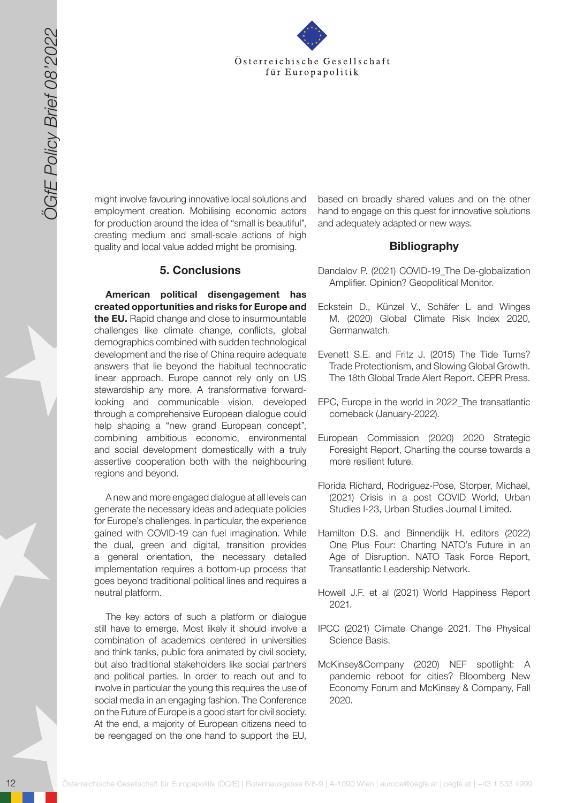

might involve favouring innovative local solutions and employment creation. Mobilising economic actors for production around the idea of "small is beautiful", creating medium and small-scale actions of high quality and local value added might be promising.

#### **5. Conclusions**

12 October 12 October 12 October 12 October 12 October 12 October 12 October 12 October 12 October 12 October 12 October 12 October 12 October 12 October 12 October 12 October 13 October 13 October 13 October 13 October 13 **American political disengagement has created opportunities and risks for Europe and the EU.** Rapid change and close to insurmountable challenges like climate change, conflicts, global demographics combined with sudden technological development and the rise of China require adequate answers that lie beyond the habitual technocratic linear approach. Europe cannot rely only on US stewardship any more. A transformative forwardlooking and communicable vision, developed through a comprehensive European dialogue could help shaping a "new grand European concept", combining ambitious economic, environmental and social development domestically with a truly assertive cooperation both with the neighbouring regions and beyond.

A new and more engaged dialogue at all levels can generate the necessary ideas and adequate policies for Europe's challenges. In particular, the experience gained with COVID-19 can fuel imagination. While the dual, green and digital, transition provides a general orientation, the necessary detailed implementation requires a bottom-up process that goes beyond traditional political lines and requires a neutral platform.

The key actors of such a platform or dialogue still have to emerge. Most likely it should involve a combination of academics centered in universities and think tanks, public fora animated by civil society, but also traditional stakeholders like social partners and political parties. In order to reach out and to involve in particular the young this requires the use of social media in an engaging fashion. The Conference on the Future of Europe is a good start for civil society. At the end, a majority of European citizens need to be reengaged on the one hand to support the EU,

based on broadly shared values and on the other hand to engage on this quest for innovative solutions and adequately adapted or new ways.

#### **Bibliography**

- Dandalov P. (2021) COVID-19\_The De-globalization Amplifier. Opinion? Geopolitical Monitor.
- Eckstein D., Künzel V., Schäfer L and Winges M. (2020) Global Climate Risk Index 2020, Germanwatch.
- Evenett S.E. and Fritz J. (2015) The Tide Turns? Trade Protectionism, and Slowing Global Growth. The 18th Global Trade Alert Report. CEPR Press.
- EPC, Europe in the world in 2022\_The transatlantic comeback (January-2022).
- European Commission (2020) 2020 Strategic Foresight Report, Charting the course towards a more resilient future.
- Florida Richard, Rodriguez-Pose, Storper, Michael, (2021) Crisis in a post COVID World, Urban Studies I-23, Urban Studies Journal Limited.
- Hamilton D.S. and Binnendijk H. editors (2022) One Plus Four: Charting NATO's Future in an Age of Disruption. NATO Task Force Report, Transatlantic Leadership Network.
- Howell J.F. et al (2021) World Happiness Report 2021.
- IPCC (2021) Climate Change 2021. The Physical Science Basis.
- McKinsey&Company (2020) NEF spotlight: A pandemic reboot for cities? Bloomberg New Economy Forum and McKinsey & Company, Fall 2020.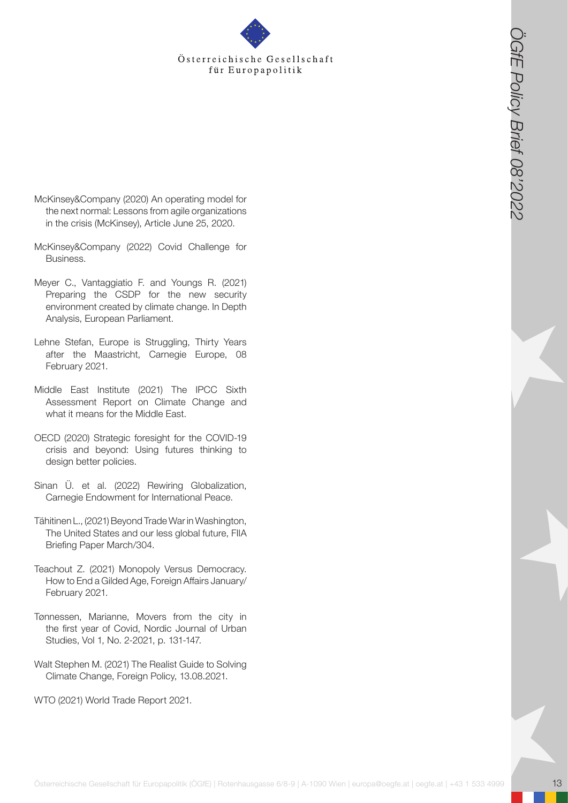- McKinsey&Company (2020) An operating model for the next normal: Lessons from agile organizations in the crisis (McKinsey), Article June 25, 2020.
- McKinsey&Company (2022) Covid Challenge for Business.
- **Österreichische Gesellschaft für Europapolitik (Conservations Conservations 6/8-9 | A-1090 Wien | Europapolitik (A-1090 Wien | A-1090 Wien | europapolitik (Conservations enterpretations) | europapolitik (Conservations ent** Meyer C., Vantaggiatio F. and Youngs R. (2021) Preparing the CSDP for the new security environment created by climate change. In Depth Analysis, European Parliament.
- Lehne Stefan, Europe is Struggling, Thirty Years after the Maastricht, Carnegie Europe, 08 February 2021.
- Middle East Institute (2021) The IPCC Sixth Assessment Report on Climate Change and what it means for the Middle East.
- OECD (2020) Strategic foresight for the COVID-19 crisis and beyond: Using futures thinking to design better policies.
- Sinan Ü. et al. (2022) Rewiring Globalization, Carnegie Endowment for International Peace.
- Tähitinen L., (2021) Beyond Trade War in Washington, The United States and our less global future, FIIA Briefing Paper March/304.
- Teachout Z. (2021) Monopoly Versus Democracy. How to End a Gilded Age, Foreign Affairs January/ February 2021.
- Tønnessen, Marianne, Movers from the city in the first year of Covid, Nordic Journal of Urban Studies, Vol 1, No. 2-2021, p. 131-147.
- Walt Stephen M. (2021) The Realist Guide to Solving Climate Change, Foreign Policy, 13.08.2021.

WTO (2021) World Trade Report 2021.